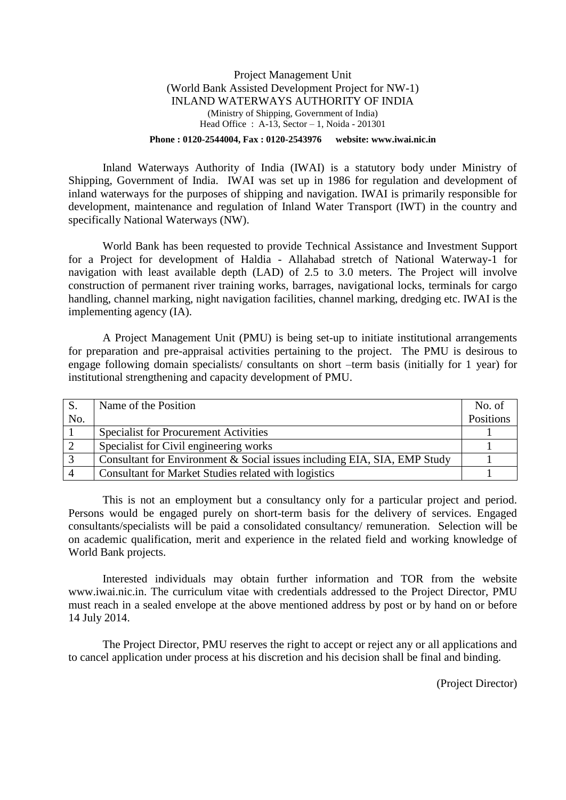#### Project Management Unit (World Bank Assisted Development Project for NW-1) INLAND WATERWAYS AUTHORITY OF INDIA (Ministry of Shipping, Government of India) Head Office : A-13, Sector – 1, Noida - 201301 **Phone : 0120-2544004, Fax : 0120-2543976 website: www.iwai.nic.in**

Inland Waterways Authority of India (IWAI) is a statutory body under Ministry of Shipping, Government of India. IWAI was set up in 1986 for regulation and development of inland waterways for the purposes of shipping and navigation. IWAI is primarily responsible for development, maintenance and regulation of Inland Water Transport (IWT) in the country and specifically National Waterways (NW).

World Bank has been requested to provide Technical Assistance and Investment Support for a Project for development of Haldia - Allahabad stretch of National Waterway-1 for navigation with least available depth (LAD) of 2.5 to 3.0 meters. The Project will involve construction of permanent river training works, barrages, navigational locks, terminals for cargo handling, channel marking, night navigation facilities, channel marking, dredging etc. IWAI is the implementing agency (IA).

A Project Management Unit (PMU) is being set-up to initiate institutional arrangements for preparation and pre-appraisal activities pertaining to the project. The PMU is desirous to engage following domain specialists/ consultants on short –term basis (initially for 1 year) for institutional strengthening and capacity development of PMU.

|     | Name of the Position                                                     | No. of    |
|-----|--------------------------------------------------------------------------|-----------|
| No. |                                                                          | Positions |
|     | <b>Specialist for Procurement Activities</b>                             |           |
|     | Specialist for Civil engineering works                                   |           |
|     | Consultant for Environment & Social issues including EIA, SIA, EMP Study |           |
|     | Consultant for Market Studies related with logistics                     |           |

This is not an employment but a consultancy only for a particular project and period. Persons would be engaged purely on short-term basis for the delivery of services. Engaged consultants/specialists will be paid a consolidated consultancy/ remuneration. Selection will be on academic qualification, merit and experience in the related field and working knowledge of World Bank projects.

Interested individuals may obtain further information and TOR from the website [www.iwai.nic.in.](http://www.iwai.nic.in/) The curriculum vitae with credentials addressed to the Project Director, PMU must reach in a sealed envelope at the above mentioned address by post or by hand on or before 14 July 2014.

The Project Director, PMU reserves the right to accept or reject any or all applications and to cancel application under process at his discretion and his decision shall be final and binding.

(Project Director)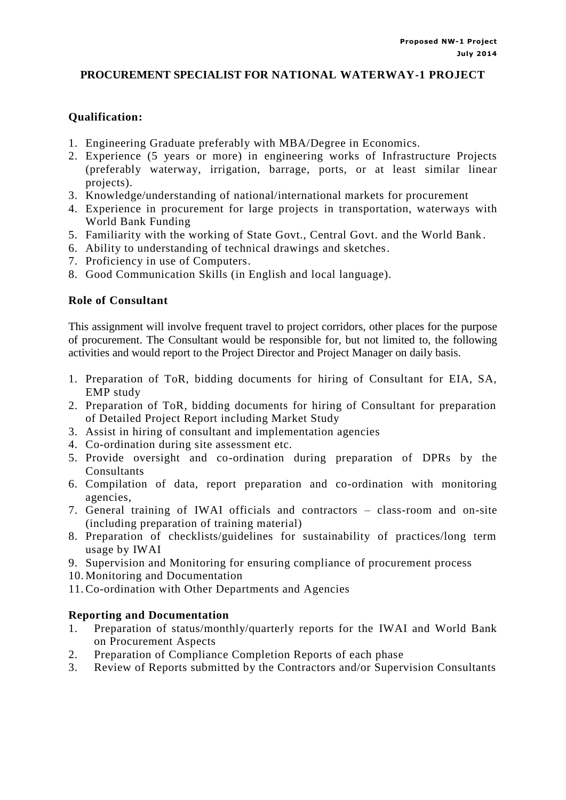# **PROCUREMENT SPECIALIST FOR NATIONAL WATERWAY-1 PROJECT**

# **Qualification:**

- 1. Engineering Graduate preferably with MBA/Degree in Economics.
- 2. Experience (5 years or more) in engineering works of Infrastructure Projects (preferably waterway, irrigation, barrage, ports, or at least similar linear projects).
- 3. Knowledge/understanding of national/international markets for procurement
- 4. Experience in procurement for large projects in transportation, waterways with World Bank Funding
- 5. Familiarity with the working of State Govt., Central Govt. and the World Bank.
- 6. Ability to understanding of technical drawings and sketches.
- 7. Proficiency in use of Computers.
- 8. Good Communication Skills (in English and local language).

### **Role of Consultant**

This assignment will involve frequent travel to project corridors, other places for the purpose of procurement. The Consultant would be responsible for, but not limited to, the following activities and would report to the Project Director and Project Manager on daily basis.

- 1. Preparation of ToR, bidding documents for hiring of Consultant for EIA, SA, EMP study
- 2. Preparation of ToR, bidding documents for hiring of Consultant for preparation of Detailed Project Report including Market Study
- 3. Assist in hiring of consultant and implementation agencies
- 4. Co-ordination during site assessment etc.
- 5. Provide oversight and co-ordination during preparation of DPRs by the **Consultants**
- 6. Compilation of data, report preparation and co-ordination with monitoring agencies,
- 7. General training of IWAI officials and contractors class-room and on-site (including preparation of training material)
- 8. Preparation of checklists/guidelines for sustainability of practices/long term usage by IWAI
- 9. Supervision and Monitoring for ensuring compliance of procurement process
- 10. Monitoring and Documentation
- 11. Co-ordination with Other Departments and Agencies

### **Reporting and Documentation**

- 1. Preparation of status/monthly/quarterly reports for the IWAI and World Bank on Procurement Aspects
- 2. Preparation of Compliance Completion Reports of each phase
- 3. Review of Reports submitted by the Contractors and/or Supervision Consultants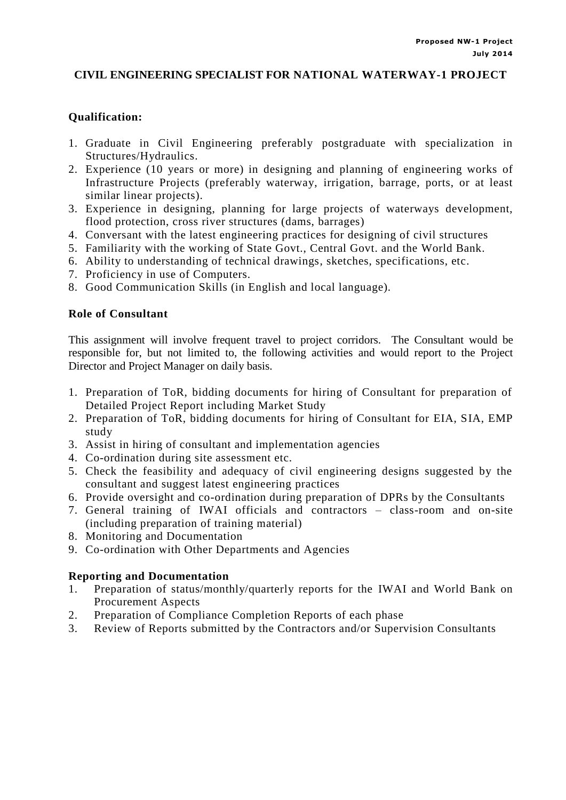# **CIVIL ENGINEERING SPECIALIST FOR NATIONAL WATERWAY-1 PROJECT**

# **Qualification:**

- 1. Graduate in Civil Engineering preferably postgraduate with specialization in Structures/Hydraulics.
- 2. Experience (10 years or more) in designing and planning of engineering works of Infrastructure Projects (preferably waterway, irrigation, barrage, ports, or at least similar linear projects).
- 3. Experience in designing, planning for large projects of waterways development, flood protection, cross river structures (dams, barrages)
- 4. Conversant with the latest engineering practices for designing of civil structures
- 5. Familiarity with the working of State Govt., Central Govt. and the World Bank.
- 6. Ability to understanding of technical drawings, sketches, specifications, etc.
- 7. Proficiency in use of Computers.
- 8. Good Communication Skills (in English and local language).

### **Role of Consultant**

This assignment will involve frequent travel to project corridors. The Consultant would be responsible for, but not limited to, the following activities and would report to the Project Director and Project Manager on daily basis.

- 1. Preparation of ToR, bidding documents for hiring of Consultant for preparation of Detailed Project Report including Market Study
- 2. Preparation of ToR, bidding documents for hiring of Consultant for EIA, SIA, EMP study
- 3. Assist in hiring of consultant and implementation agencies
- 4. Co-ordination during site assessment etc.
- 5. Check the feasibility and adequacy of civil engineering designs suggested by the consultant and suggest latest engineering practices
- 6. Provide oversight and co-ordination during preparation of DPRs by the Consultants
- 7. General training of IWAI officials and contractors class-room and on-site (including preparation of training material)
- 8. Monitoring and Documentation
- 9. Co-ordination with Other Departments and Agencies

### **Reporting and Documentation**

- 1. Preparation of status/monthly/quarterly reports for the IWAI and World Bank on Procurement Aspects
- 2. Preparation of Compliance Completion Reports of each phase
- 3. Review of Reports submitted by the Contractors and/or Supervision Consultants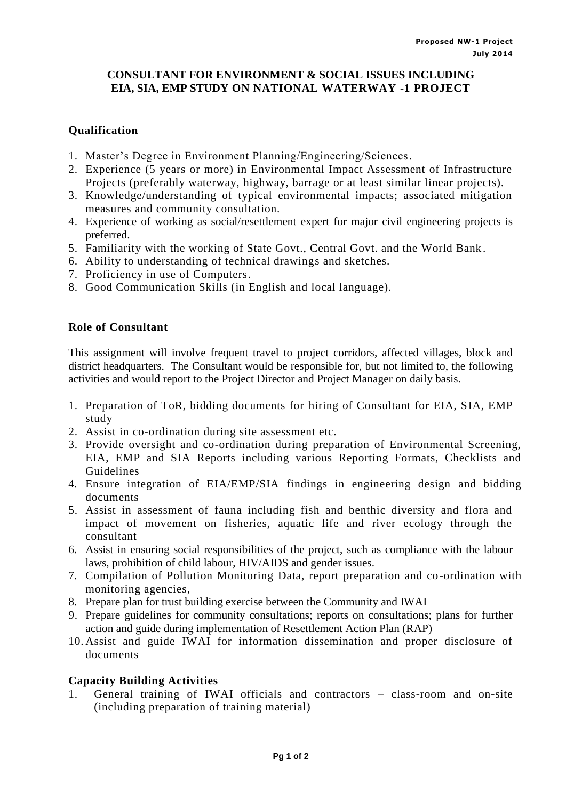### **CONSULTANT FOR ENVIRONMENT & SOCIAL ISSUES INCLUDING EIA, SIA, EMP STUDY ON NATIONAL WATERWAY -1 PROJECT**

# **Qualification**

- 1. Master's Degree in Environment Planning/Engineering/Sciences.
- 2. Experience (5 years or more) in Environmental Impact Assessment of Infrastructure Projects (preferably waterway, highway, barrage or at least similar linear projects).
- 3. Knowledge/understanding of typical environmental impacts; associated mitigation measures and community consultation.
- 4. Experience of working as social/resettlement expert for major civil engineering projects is preferred.
- 5. Familiarity with the working of State Govt., Central Govt. and the World Bank.
- 6. Ability to understanding of technical drawings and sketches.
- 7. Proficiency in use of Computers.
- 8. Good Communication Skills (in English and local language).

### **Role of Consultant**

This assignment will involve frequent travel to project corridors, affected villages, block and district headquarters. The Consultant would be responsible for, but not limited to, the following activities and would report to the Project Director and Project Manager on daily basis.

- 1. Preparation of ToR, bidding documents for hiring of Consultant for EIA, SIA, EMP study
- 2. Assist in co-ordination during site assessment etc.
- 3. Provide oversight and co-ordination during preparation of Environmental Screening, EIA, EMP and SIA Reports including various Reporting Formats, Checklists and Guidelines
- 4. Ensure integration of EIA/EMP/SIA findings in engineering design and bidding documents
- 5. Assist in assessment of fauna including fish and benthic diversity and flora and impact of movement on fisheries, aquatic life and river ecology through the consultant
- 6. Assist in ensuring social responsibilities of the project, such as compliance with the labour laws, prohibition of child labour, HIV/AIDS and gender issues.
- 7. Compilation of Pollution Monitoring Data, report preparation and co-ordination with monitoring agencies,
- 8. Prepare plan for trust building exercise between the Community and IWAI
- 9. Prepare guidelines for community consultations; reports on consultations; plans for further action and guide during implementation of Resettlement Action Plan (RAP)
- 10. Assist and guide IWAI for information dissemination and proper disclosure of documents

### **Capacity Building Activities**

1. General training of IWAI officials and contractors – class-room and on-site (including preparation of training material)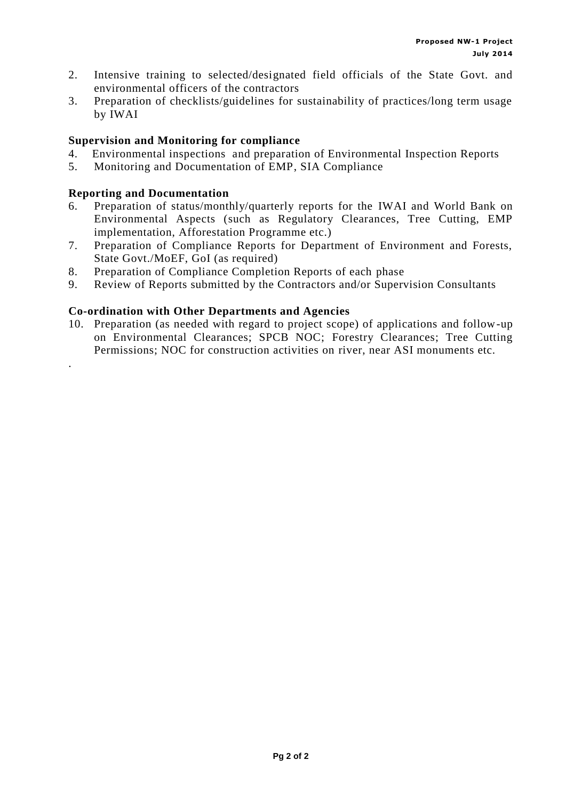- 2. Intensive training to selected/designated field officials of the State Govt. and environmental officers of the contractors
- 3. Preparation of checklists/guidelines for sustainability of practices/long term usage by IWAI

### **Supervision and Monitoring for compliance**

- 4. Environmental inspections and preparation of Environmental Inspection Reports
- 5. Monitoring and Documentation of EMP, SIA Compliance

### **Reporting and Documentation**

.

- 6. Preparation of status/monthly/quarterly reports for the IWAI and World Bank on Environmental Aspects (such as Regulatory Clearances, Tree Cutting, EMP implementation, Afforestation Programme etc.)
- 7. Preparation of Compliance Reports for Department of Environment and Forests, State Govt./MoEF, GoI (as required)
- 8. Preparation of Compliance Completion Reports of each phase
- 9. Review of Reports submitted by the Contractors and/or Supervision Consultants

### **Co-ordination with Other Departments and Agencies**

10. Preparation (as needed with regard to project scope) of applications and follow-up on Environmental Clearances; SPCB NOC; Forestry Clearances; Tree Cutting Permissions; NOC for construction activities on river, near ASI monuments etc.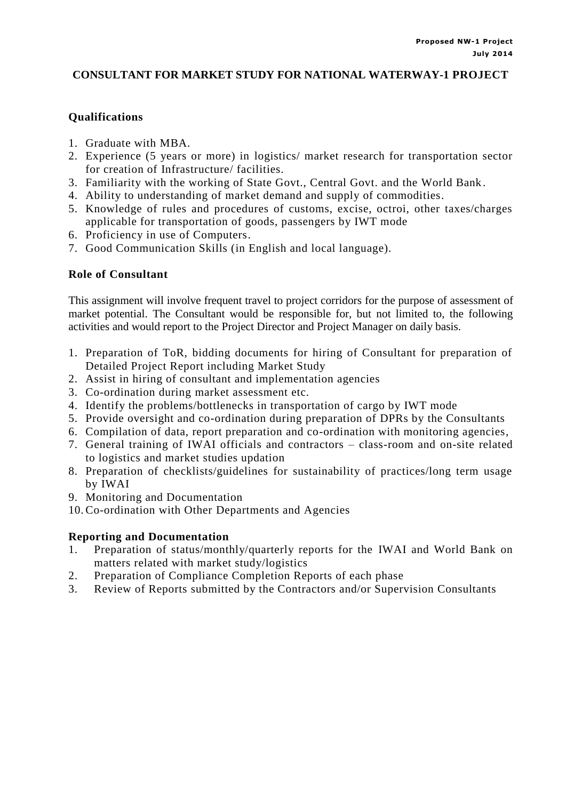# **CONSULTANT FOR MARKET STUDY FOR NATIONAL WATERWAY-1 PROJECT**

# **Qualifications**

- 1. Graduate with MBA.
- 2. Experience (5 years or more) in logistics/ market research for transportation sector for creation of Infrastructure/ facilities.
- 3. Familiarity with the working of State Govt., Central Govt. and the World Bank.
- 4. Ability to understanding of market demand and supply of commodities.
- 5. Knowledge of rules and procedures of customs, excise, octroi, other taxes/charges applicable for transportation of goods, passengers by IWT mode
- 6. Proficiency in use of Computers.
- 7. Good Communication Skills (in English and local language).

### **Role of Consultant**

This assignment will involve frequent travel to project corridors for the purpose of assessment of market potential. The Consultant would be responsible for, but not limited to, the following activities and would report to the Project Director and Project Manager on daily basis.

- 1. Preparation of ToR, bidding documents for hiring of Consultant for preparation of Detailed Project Report including Market Study
- 2. Assist in hiring of consultant and implementation agencies
- 3. Co-ordination during market assessment etc.
- 4. Identify the problems/bottlenecks in transportation of cargo by IWT mode
- 5. Provide oversight and co-ordination during preparation of DPRs by the Consultants
- 6. Compilation of data, report preparation and co-ordination with monitoring agencies,
- 7. General training of IWAI officials and contractors class-room and on-site related to logistics and market studies updation
- 8. Preparation of checklists/guidelines for sustainability of practices/long term usage by IWAI
- 9. Monitoring and Documentation
- 10. Co-ordination with Other Departments and Agencies

### **Reporting and Documentation**

- 1. Preparation of status/monthly/quarterly reports for the IWAI and World Bank on matters related with market study/logistics
- 2. Preparation of Compliance Completion Reports of each phase
- 3. Review of Reports submitted by the Contractors and/or Supervision Consultants